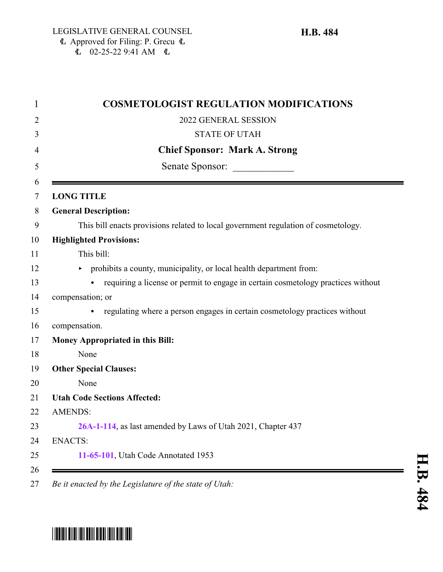| <b>COSMETOLOGIST REGULATION MODIFICATIONS</b>                                      |
|------------------------------------------------------------------------------------|
| 2022 GENERAL SESSION                                                               |
| <b>STATE OF UTAH</b>                                                               |
| <b>Chief Sponsor: Mark A. Strong</b>                                               |
| Senate Sponsor:                                                                    |
| <b>LONG TITLE</b>                                                                  |
| <b>General Description:</b>                                                        |
| This bill enacts provisions related to local government regulation of cosmetology. |
| <b>Highlighted Provisions:</b>                                                     |
| This bill:                                                                         |
| prohibits a county, municipality, or local health department from:<br>Þ.           |
| requiring a license or permit to engage in certain cosmetology practices without   |
| compensation; or                                                                   |
| regulating where a person engages in certain cosmetology practices without         |
| compensation.                                                                      |
| Money Appropriated in this Bill:                                                   |
| None                                                                               |
| <b>Other Special Clauses:</b>                                                      |
| None                                                                               |
| <b>Utah Code Sections Affected:</b>                                                |
| <b>AMENDS:</b>                                                                     |
| 26A-1-114, as last amended by Laws of Utah 2021, Chapter 437                       |
| <b>ENACTS:</b>                                                                     |
| 11-65-101, Utah Code Annotated 1953                                                |

*Be it enacted by the Legislature of the state of Utah:*

# \*HB0484\*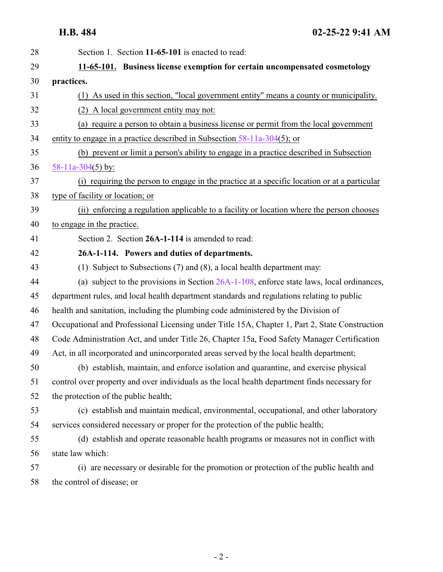<span id="page-1-1"></span><span id="page-1-0"></span>

| Section 1. Section 11-65-101 is enacted to read:                                               |
|------------------------------------------------------------------------------------------------|
| 11-65-101. Business license exemption for certain uncompensated cosmetology                    |
| practices.                                                                                     |
| (1) As used in this section, "local government entity" means a county or municipality.         |
| (2) A local government entity may not:                                                         |
| (a) require a person to obtain a business license or permit from the local government          |
| entity to engage in a practice described in Subsection $58-11a-304(5)$ ; or                    |
| (b) prevent or limit a person's ability to engage in a practice described in Subsection        |
| 58-11a-304(5) by:                                                                              |
| (i) requiring the person to engage in the practice at a specific location or at a particular   |
| type of facility or location; or                                                               |
| (ii) enforcing a regulation applicable to a facility or location where the person chooses      |
| to engage in the practice.                                                                     |
| Section 2. Section 26A-1-114 is amended to read:                                               |
| 26A-1-114. Powers and duties of departments.                                                   |
| (1) Subject to Subsections (7) and (8), a local health department may:                         |
| (a) subject to the provisions in Section $26A-1-108$ , enforce state laws, local ordinances,   |
| department rules, and local health department standards and regulations relating to public     |
| health and sanitation, including the plumbing code administered by the Division of             |
| Occupational and Professional Licensing under Title 15A, Chapter 1, Part 2, State Construction |
| Code Administration Act, and under Title 26, Chapter 15a, Food Safety Manager Certification    |
| Act, in all incorporated and unincorporated areas served by the local health department;       |
| (b) establish, maintain, and enforce isolation and quarantine, and exercise physical           |
| control over property and over individuals as the local health department finds necessary for  |
| the protection of the public health;                                                           |
| (c) establish and maintain medical, environmental, occupational, and other laboratory          |
| services considered necessary or proper for the protection of the public health;               |
| (d) establish and operate reasonable health programs or measures not in conflict with          |
| state law which:                                                                               |
| (i) are necessary or desirable for the promotion or protection of the public health and        |
| the control of disease; or                                                                     |
|                                                                                                |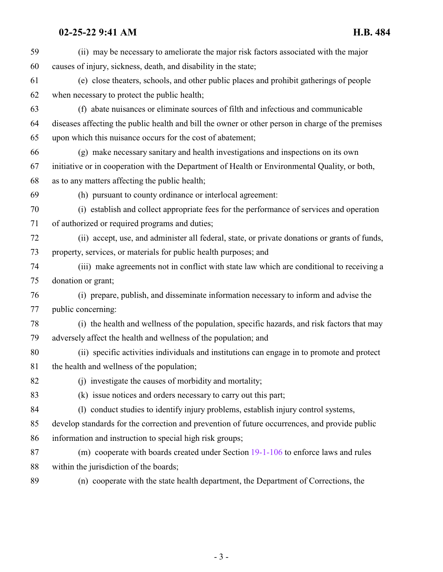| 59 | (ii) may be necessary to ameliorate the major risk factors associated with the major              |
|----|---------------------------------------------------------------------------------------------------|
| 60 | causes of injury, sickness, death, and disability in the state;                                   |
| 61 | (e) close theaters, schools, and other public places and prohibit gatherings of people            |
| 62 | when necessary to protect the public health;                                                      |
| 63 | (f) abate nuisances or eliminate sources of filth and infectious and communicable                 |
| 64 | diseases affecting the public health and bill the owner or other person in charge of the premises |
| 65 | upon which this nuisance occurs for the cost of abatement;                                        |
| 66 | (g) make necessary sanitary and health investigations and inspections on its own                  |
| 67 | initiative or in cooperation with the Department of Health or Environmental Quality, or both,     |
| 68 | as to any matters affecting the public health;                                                    |
| 69 | (h) pursuant to county ordinance or interlocal agreement:                                         |
| 70 | (i) establish and collect appropriate fees for the performance of services and operation          |
| 71 | of authorized or required programs and duties;                                                    |
| 72 | (ii) accept, use, and administer all federal, state, or private donations or grants of funds,     |
| 73 | property, services, or materials for public health purposes; and                                  |
| 74 | (iii) make agreements not in conflict with state law which are conditional to receiving a         |
| 75 | donation or grant;                                                                                |
| 76 | (i) prepare, publish, and disseminate information necessary to inform and advise the              |
| 77 | public concerning:                                                                                |
| 78 | (i) the health and wellness of the population, specific hazards, and risk factors that may        |
| 79 | adversely affect the health and wellness of the population; and                                   |
| 80 | (ii) specific activities individuals and institutions can engage in to promote and protect        |
| 81 | the health and wellness of the population;                                                        |
| 82 | (j) investigate the causes of morbidity and mortality;                                            |
| 83 | (k) issue notices and orders necessary to carry out this part;                                    |
| 84 | (1) conduct studies to identify injury problems, establish injury control systems,                |
| 85 | develop standards for the correction and prevention of future occurrences, and provide public     |
| 86 | information and instruction to special high risk groups;                                          |
| 87 | (m) cooperate with boards created under Section 19-1-106 to enforce laws and rules                |
| 88 | within the jurisdiction of the boards;                                                            |
| 89 | (n) cooperate with the state health department, the Department of Corrections, the                |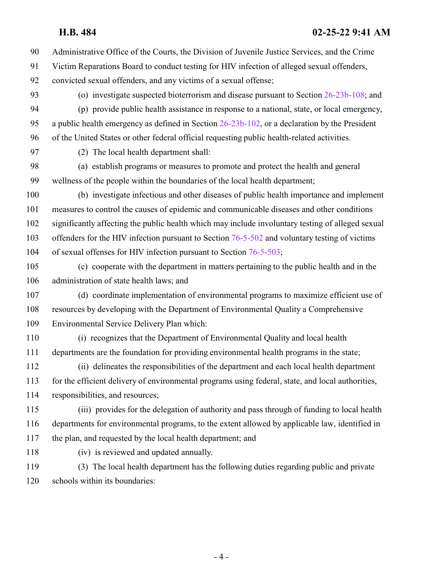Administrative Office of the Courts, the Division of Juvenile Justice Services, and the Crime

 Victim Reparations Board to conduct testing for HIV infection of alleged sexual offenders, convicted sexual offenders, and any victims of a sexual offense;

 (o) investigate suspected bioterrorism and disease pursuant to Section [26-23b-108](http://le.utah.gov/UtahCode/SectionLookup.jsp?section=26-23b-108&session=2022GS); and (p) provide public health assistance in response to a national, state, or local emergency, a public health emergency as defined in Section [26-23b-102](http://le.utah.gov/UtahCode/SectionLookup.jsp?section=26-23b-102&session=2022GS), or a declaration by the President

of the United States or other federal official requesting public health-related activities.

(2) The local health department shall:

 (a) establish programs or measures to promote and protect the health and general wellness of the people within the boundaries of the local health department;

 (b) investigate infectious and other diseases of public health importance and implement measures to control the causes of epidemic and communicable diseases and other conditions significantly affecting the public health which may include involuntary testing of alleged sexual 103 offenders for the HIV infection pursuant to Section [76-5-502](http://le.utah.gov/UtahCode/SectionLookup.jsp?section=76-5-502&session=2022GS) and voluntary testing of victims of sexual offenses for HIV infection pursuant to Section [76-5-503](http://le.utah.gov/UtahCode/SectionLookup.jsp?section=76-5-503&session=2022GS);

 (c) cooperate with the department in matters pertaining to the public health and in the administration of state health laws; and

 (d) coordinate implementation of environmental programs to maximize efficient use of resources by developing with the Department of Environmental Quality a Comprehensive Environmental Service Delivery Plan which:

 (i) recognizes that the Department of Environmental Quality and local health departments are the foundation for providing environmental health programs in the state;

 (ii) delineates the responsibilities of the department and each local health department for the efficient delivery of environmental programs using federal, state, and local authorities, responsibilities, and resources;

 (iii) provides for the delegation of authority and pass through of funding to local health departments for environmental programs, to the extent allowed by applicable law, identified in the plan, and requested by the local health department; and

(iv) is reviewed and updated annually.

 (3) The local health department has the following duties regarding public and private schools within its boundaries: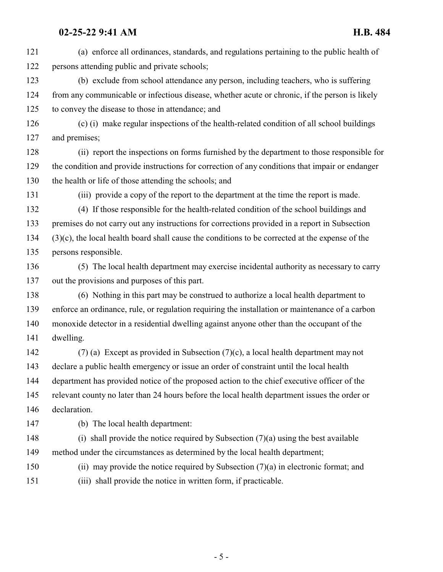(a) enforce all ordinances, standards, and regulations pertaining to the public health of persons attending public and private schools; (b) exclude from school attendance any person, including teachers, who is suffering from any communicable or infectious disease, whether acute or chronic, if the person is likely to convey the disease to those in attendance; and (c) (i) make regular inspections of the health-related condition of all school buildings and premises; (ii) report the inspections on forms furnished by the department to those responsible for the condition and provide instructions for correction of any conditions that impair or endanger the health or life of those attending the schools; and (iii) provide a copy of the report to the department at the time the report is made. (4) If those responsible for the health-related condition of the school buildings and premises do not carry out any instructions for corrections provided in a report in Subsection (3)(c), the local health board shall cause the conditions to be corrected at the expense of the persons responsible. (5) The local health department may exercise incidental authority as necessary to carry out the provisions and purposes of this part. (6) Nothing in this part may be construed to authorize a local health department to enforce an ordinance, rule, or regulation requiring the installation or maintenance of a carbon monoxide detector in a residential dwelling against anyone other than the occupant of the

dwelling.

 (7) (a) Except as provided in Subsection (7)(c), a local health department may not declare a public health emergency or issue an order of constraint until the local health department has provided notice of the proposed action to the chief executive officer of the relevant county no later than 24 hours before the local health department issues the order or declaration.

(b) The local health department:

 (i) shall provide the notice required by Subsection (7)(a) using the best available method under the circumstances as determined by the local health department;

(ii) may provide the notice required by Subsection (7)(a) in electronic format; and

(iii) shall provide the notice in written form, if practicable.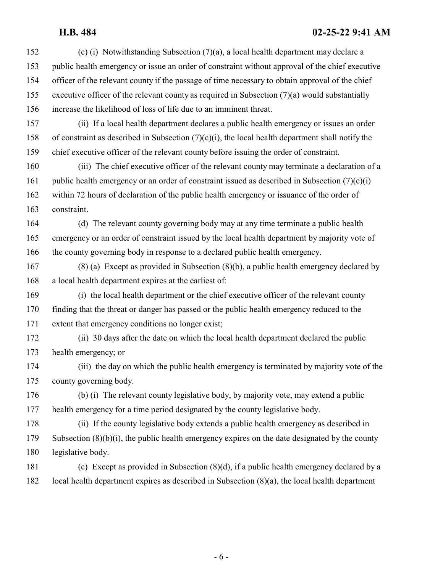(c) (i) Notwithstanding Subsection (7)(a), a local health department may declare a public health emergency or issue an order of constraint without approval of the chief executive officer of the relevant county if the passage of time necessary to obtain approval of the chief executive officer of the relevant county as required in Subsection (7)(a) would substantially increase the likelihood of loss of life due to an imminent threat. (ii) If a local health department declares a public health emergency or issues an order 158 of constraint as described in Subsection  $(7)(c)(i)$ , the local health department shall notify the chief executive officer of the relevant county before issuing the order of constraint. (iii) The chief executive officer of the relevant county may terminate a declaration of a 161 public health emergency or an order of constraint issued as described in Subsection  $(7)(c)(i)$  within 72 hours of declaration of the public health emergency or issuance of the order of constraint. (d) The relevant county governing body may at any time terminate a public health emergency or an order of constraint issued by the local health department by majority vote of the county governing body in response to a declared public health emergency. (8) (a) Except as provided in Subsection (8)(b), a public health emergency declared by a local health department expires at the earliest of: (i) the local health department or the chief executive officer of the relevant county finding that the threat or danger has passed or the public health emergency reduced to the extent that emergency conditions no longer exist; (ii) 30 days after the date on which the local health department declared the public health emergency; or (iii) the day on which the public health emergency is terminated by majority vote of the county governing body. (b) (i) The relevant county legislative body, by majority vote, may extend a public health emergency for a time period designated by the county legislative body. (ii) If the county legislative body extends a public health emergency as described in Subsection (8)(b)(i), the public health emergency expires on the date designated by the county legislative body. (c) Except as provided in Subsection (8)(d), if a public health emergency declared by a local health department expires as described in Subsection (8)(a), the local health department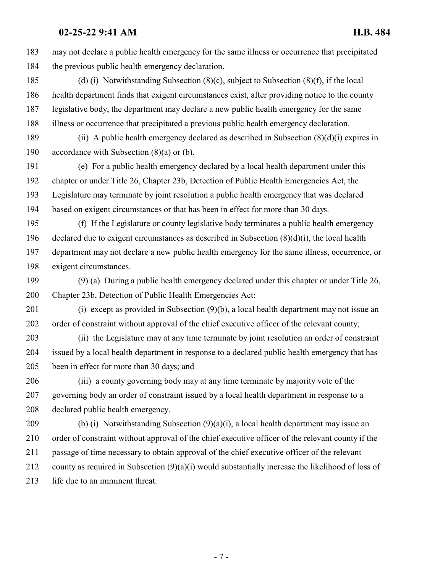may not declare a public health emergency for the same illness or occurrence that precipitated the previous public health emergency declaration.

 (d) (i) Notwithstanding Subsection (8)(c), subject to Subsection (8)(f), if the local health department finds that exigent circumstances exist, after providing notice to the county legislative body, the department may declare a new public health emergency for the same illness or occurrence that precipitated a previous public health emergency declaration.

 (ii) A public health emergency declared as described in Subsection (8)(d)(i) expires in accordance with Subsection (8)(a) or (b).

 (e) For a public health emergency declared by a local health department under this chapter or under Title 26, Chapter 23b, Detection of Public Health Emergencies Act, the Legislature may terminate by joint resolution a public health emergency that was declared based on exigent circumstances or that has been in effect for more than 30 days.

 (f) If the Legislature or county legislative body terminates a public health emergency 196 declared due to exigent circumstances as described in Subsection  $(8)(d)(i)$ , the local health department may not declare a new public health emergency for the same illness, occurrence, or exigent circumstances.

 (9) (a) During a public health emergency declared under this chapter or under Title 26, 200 Chapter 23b, Detection of Public Health Emergencies Act:

 (i) except as provided in Subsection (9)(b), a local health department may not issue an order of constraint without approval of the chief executive officer of the relevant county;

 (ii) the Legislature may at any time terminate by joint resolution an order of constraint issued by a local health department in response to a declared public health emergency that has been in effect for more than 30 days; and

 (iii) a county governing body may at any time terminate by majority vote of the governing body an order of constraint issued by a local health department in response to a declared public health emergency.

 (b) (i) Notwithstanding Subsection (9)(a)(i), a local health department may issue an order of constraint without approval of the chief executive officer of the relevant county if the passage of time necessary to obtain approval of the chief executive officer of the relevant county as required in Subsection (9)(a)(i) would substantially increase the likelihood of loss of life due to an imminent threat.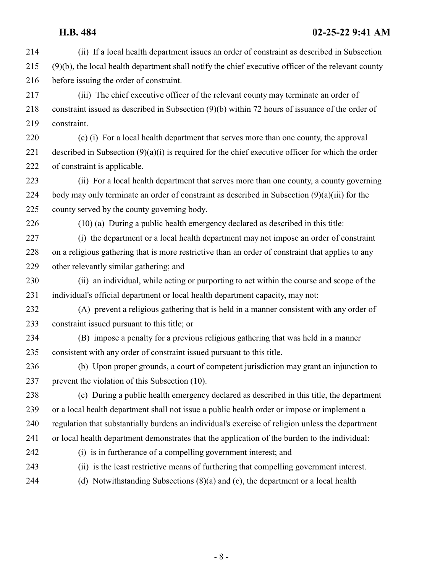- (ii) If a local health department issues an order of constraint as described in Subsection (9)(b), the local health department shall notify the chief executive officer of the relevant county before issuing the order of constraint.
- (iii) The chief executive officer of the relevant county may terminate an order of constraint issued as described in Subsection (9)(b) within 72 hours of issuance of the order of constraint.
- (c) (i) For a local health department that serves more than one county, the approval described in Subsection (9)(a)(i) is required for the chief executive officer for which the order of constraint is applicable.
- (ii) For a local health department that serves more than one county, a county governing body may only terminate an order of constraint as described in Subsection (9)(a)(iii) for the county served by the county governing body.
- (10) (a) During a public health emergency declared as described in this title:
- (i) the department or a local health department may not impose an order of constraint on a religious gathering that is more restrictive than an order of constraint that applies to any other relevantly similar gathering; and
- (ii) an individual, while acting or purporting to act within the course and scope of the individual's official department or local health department capacity, may not:
- (A) prevent a religious gathering that is held in a manner consistent with any order of constraint issued pursuant to this title; or
- (B) impose a penalty for a previous religious gathering that was held in a manner consistent with any order of constraint issued pursuant to this title.
- (b) Upon proper grounds, a court of competent jurisdiction may grant an injunction to prevent the violation of this Subsection (10).
- (c) During a public health emergency declared as described in this title, the department or a local health department shall not issue a public health order or impose or implement a regulation that substantially burdens an individual's exercise of religion unless the department or local health department demonstrates that the application of the burden to the individual: (i) is in furtherance of a compelling government interest; and
- 
- (ii) is the least restrictive means of furthering that compelling government interest.
- 

(d) Notwithstanding Subsections (8)(a) and (c), the department or a local health